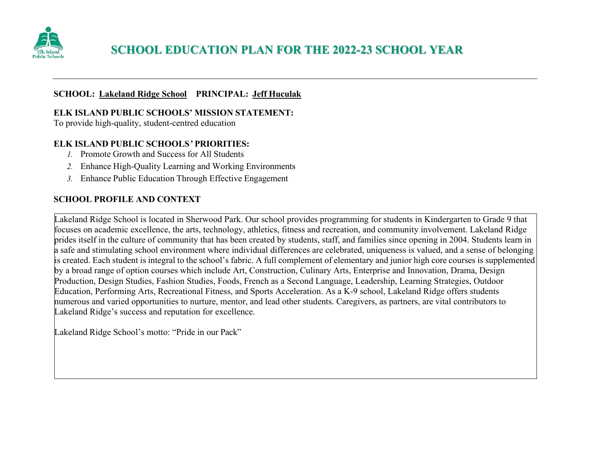

## **SCHOOL EDUCATION PLAN FOR THE 2022-23 SCHOOL YEAR**

#### **SCHOOL: Lakeland Ridge School PRINCIPAL: Jeff Huculak**

#### **ELK ISLAND PUBLIC SCHOOLS' MISSION STATEMENT:**

To provide high-quality, student-centred education

## **ELK ISLAND PUBLIC SCHOOLS***'* **PRIORITIES:**

- *1.* Promote Growth and Success for All Students
- *2.* Enhance High-Quality Learning and Working Environments
- *3.* Enhance Public Education Through Effective Engagement

## **SCHOOL PROFILE AND CONTEXT**

Lakeland Ridge School is located in Sherwood Park. Our school provides programming for students in Kindergarten to Grade 9 that focuses on academic excellence, the arts, technology, athletics, fitness and recreation, and community involvement. Lakeland Ridge prides itself in the culture of community that has been created by students, staff, and families since opening in 2004. Students learn in a safe and stimulating school environment where individual differences are celebrated, uniqueness is valued, and a sense of belonging is created. Each student is integral to the school's fabric. A full complement of elementary and junior high core courses is supplemented by a broad range of option courses which include Art, Construction, Culinary Arts, Enterprise and Innovation, Drama, Design Production, Design Studies, Fashion Studies, Foods, French as a Second Language, Leadership, Learning Strategies, Outdoor Education, Performing Arts, Recreational Fitness, and Sports Acceleration. As a K-9 school, Lakeland Ridge offers students numerous and varied opportunities to nurture, mentor, and lead other students. Caregivers, as partners, are vital contributors to Lakeland Ridge's success and reputation for excellence.

Lakeland Ridge School's motto: "Pride in our Pack"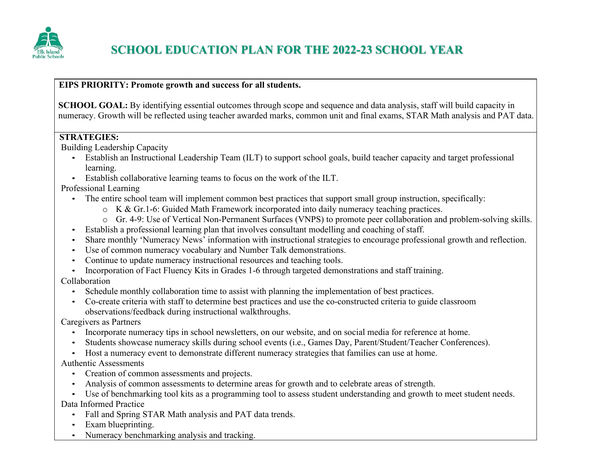

## **EIPS PRIORITY: Promote growth and success for all students.**

**SCHOOL GOAL:** By identifying essential outcomes through scope and sequence and data analysis, staff will build capacity in numeracy. Growth will be reflected using teacher awarded marks, common unit and final exams, STAR Math analysis and PAT data.

## **STRATEGIES:**

Building Leadership Capacity

- Establish an Instructional Leadership Team (ILT) to support school goals, build teacher capacity and target professional learning.
- Establish collaborative learning teams to focus on the work of the ILT.

Professional Learning

- The entire school team will implement common best practices that support small group instruction, specifically:
	- o K & Gr.1-6: Guided Math Framework incorporated into daily numeracy teaching practices.
	- o Gr. 4-9: Use of Vertical Non-Permanent Surfaces (VNPS) to promote peer collaboration and problem-solving skills.
- Establish a professional learning plan that involves consultant modelling and coaching of staff.
- Share monthly 'Numeracy News' information with instructional strategies to encourage professional growth and reflection.
- Use of common numeracy vocabulary and Number Talk demonstrations.
- Continue to update numeracy instructional resources and teaching tools.
- Incorporation of Fact Fluency Kits in Grades 1-6 through targeted demonstrations and staff training.

Collaboration

- Schedule monthly collaboration time to assist with planning the implementation of best practices.
- Co-create criteria with staff to determine best practices and use the co-constructed criteria to guide classroom observations/feedback during instructional walkthroughs.

Caregivers as Partners

- Incorporate numeracy tips in school newsletters, on our website, and on social media for reference at home.
- Students showcase numeracy skills during school events (i.e., Games Day, Parent/Student/Teacher Conferences).
- Host a numeracy event to demonstrate different numeracy strategies that families can use at home.

Authentic Assessments

- Creation of common assessments and projects.
- Analysis of common assessments to determine areas for growth and to celebrate areas of strength.

• Use of benchmarking tool kits as a programming tool to assess student understanding and growth to meet student needs. Data Informed Practice

- Fall and Spring STAR Math analysis and PAT data trends.
- Exam blueprinting.
- Numeracy benchmarking analysis and tracking.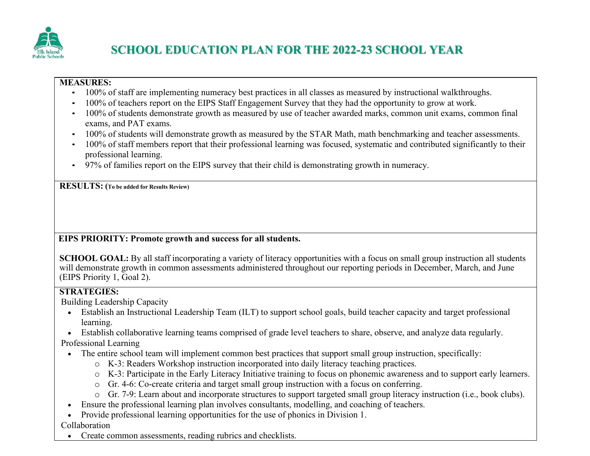

#### **MEASURES:**

- 100% of staff are implementing numeracy best practices in all classes as measured by instructional walkthroughs.
- 100% of teachers report on the EIPS Staff Engagement Survey that they had the opportunity to grow at work.
- 100% of students demonstrate growth as measured by use of teacher awarded marks, common unit exams, common final exams, and PAT exams.
- 100% of students will demonstrate growth as measured by the STAR Math, math benchmarking and teacher assessments.
- 100% of staff members report that their professional learning was focused, systematic and contributed significantly to their professional learning.
- 97% of families report on the EIPS survey that their child is demonstrating growth in numeracy.

**RESULTS: (To be added for Results Review)**

## **EIPS PRIORITY: Promote growth and success for all students.**

**SCHOOL GOAL:** By all staff incorporating a variety of literacy opportunities with a focus on small group instruction all students will demonstrate growth in common assessments administered throughout our reporting periods in December, March, and June (EIPS Priority 1, Goal 2).

## **STRATEGIES:**

Building Leadership Capacity

- Establish an Instructional Leadership Team (ILT) to support school goals, build teacher capacity and target professional learning.
- Establish collaborative learning teams comprised of grade level teachers to share, observe, and analyze data regularly.

Professional Learning

- The entire school team will implement common best practices that support small group instruction, specifically:
	- o K-3: Readers Workshop instruction incorporated into daily literacy teaching practices.
	- o K-3: Participate in the Early Literacy Initiative training to focus on phonemic awareness and to support early learners.
	- o Gr. 4-6: Co-create criteria and target small group instruction with a focus on conferring.
	- o Gr. 7-9: Learn about and incorporate structures to support targeted small group literacy instruction (i.e., book clubs).
- Ensure the professional learning plan involves consultants, modelling, and coaching of teachers.
- Provide professional learning opportunities for the use of phonics in Division 1.

Collaboration

• Create common assessments, reading rubrics and checklists.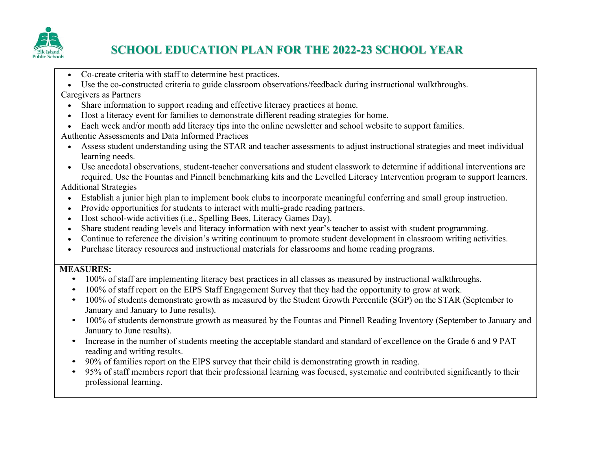

# **SCHOOL EDUCATION PLAN FOR THE 2022-23 SCHOOL YEAR**

- Co-create criteria with staff to determine best practices.
- Use the co-constructed criteria to guide classroom observations/feedback during instructional walkthroughs.

Caregivers as Partners

- Share information to support reading and effective literacy practices at home.
- Host a literacy event for families to demonstrate different reading strategies for home.
- Each week and/or month add literacy tips into the online newsletter and school website to support families.

Authentic Assessments and Data Informed Practices

• Assess student understanding using the STAR and teacher assessments to adjust instructional strategies and meet individual learning needs.

• Use anecdotal observations, student-teacher conversations and student classwork to determine if additional interventions are required. Use the Fountas and Pinnell benchmarking kits and the Levelled Literacy Intervention program to support learners.

Additional Strategies

- Establish a junior high plan to implement book clubs to incorporate meaningful conferring and small group instruction.
- Provide opportunities for students to interact with multi-grade reading partners.
- Host school-wide activities (i.e., Spelling Bees, Literacy Games Day).
- Share student reading levels and literacy information with next year's teacher to assist with student programming.
- Continue to reference the division's writing continuum to promote student development in classroom writing activities.
- Purchase literacy resources and instructional materials for classrooms and home reading programs.

## **MEASURES:**

- 100% of staff are implementing literacy best practices in all classes as measured by instructional walkthroughs.
- 100% of staff report on the EIPS Staff Engagement Survey that they had the opportunity to grow at work.
- 100% of students demonstrate growth as measured by the Student Growth Percentile (SGP) on the STAR (September to January and January to June results).
- 100% of students demonstrate growth as measured by the Fountas and Pinnell Reading Inventory (September to January and January to June results).
- Increase in the number of students meeting the acceptable standard and standard of excellence on the Grade 6 and 9 PAT reading and writing results.
- 90% of families report on the EIPS survey that their child is demonstrating growth in reading.
- 95% of staff members report that their professional learning was focused, systematic and contributed significantly to their professional learning.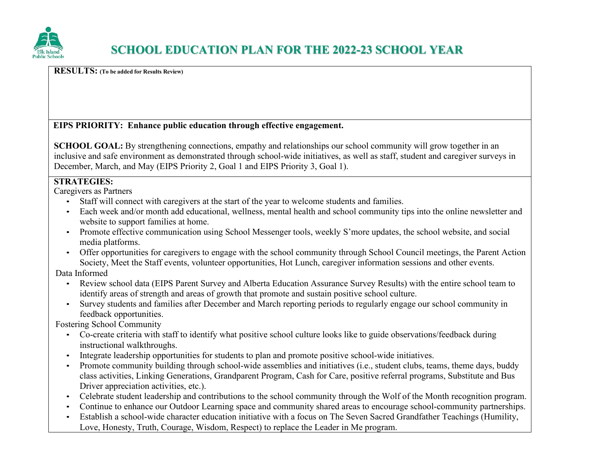

## **RESULTS: (To be added for Results Review)**

## **EIPS PRIORITY: Enhance public education through effective engagement.**

**SCHOOL GOAL:** By strengthening connections, empathy and relationships our school community will grow together in an inclusive and safe environment as demonstrated through school-wide initiatives, as well as staff, student and caregiver surveys in December, March, and May (EIPS Priority 2, Goal 1 and EIPS Priority 3, Goal 1).

## **STRATEGIES:**

Caregivers as Partners

- Staff will connect with caregivers at the start of the year to welcome students and families.
- Each week and/or month add educational, wellness, mental health and school community tips into the online newsletter and website to support families at home.
- Promote effective communication using School Messenger tools, weekly S'more updates, the school website, and social media platforms.
- Offer opportunities for caregivers to engage with the school community through School Council meetings, the Parent Action Society, Meet the Staff events, volunteer opportunities, Hot Lunch, caregiver information sessions and other events.

Data Informed

- Review school data (EIPS Parent Survey and Alberta Education Assurance Survey Results) with the entire school team to identify areas of strength and areas of growth that promote and sustain positive school culture.
- Survey students and families after December and March reporting periods to regularly engage our school community in feedback opportunities.

Fostering School Community

- Co-create criteria with staff to identify what positive school culture looks like to guide observations/feedback during instructional walkthroughs.
- Integrate leadership opportunities for students to plan and promote positive school-wide initiatives.
- Promote community building through school-wide assemblies and initiatives (i.e., student clubs, teams, theme days, buddy class activities, Linking Generations, Grandparent Program, Cash for Care, positive referral programs, Substitute and Bus Driver appreciation activities, etc.).
- Celebrate student leadership and contributions to the school community through the Wolf of the Month recognition program.
- Continue to enhance our Outdoor Learning space and community shared areas to encourage school-community partnerships.
- Establish a school-wide character education initiative with a focus on The Seven Sacred Grandfather Teachings (Humility, Love, Honesty, Truth, Courage, Wisdom, Respect) to replace the Leader in Me program.